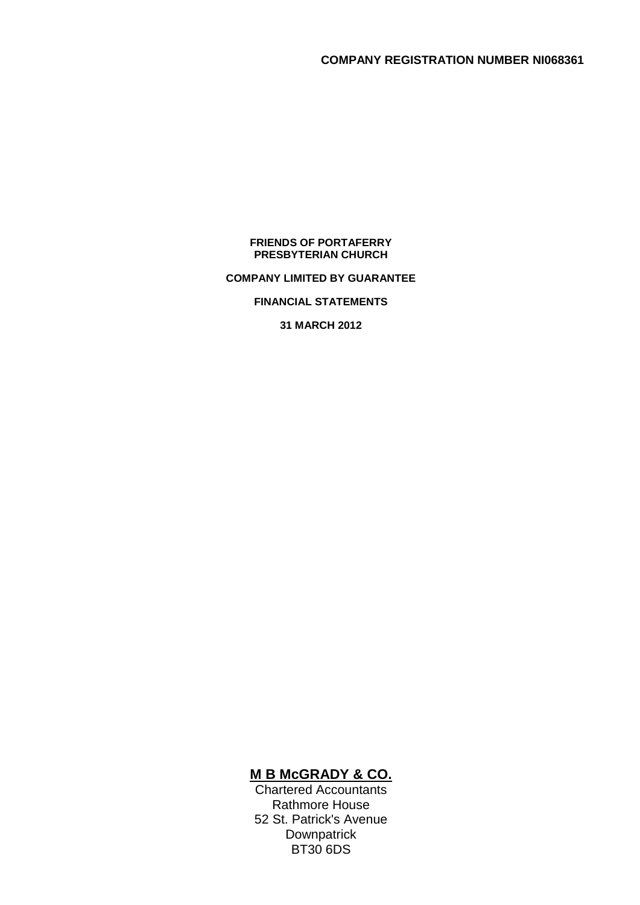#### **FRIENDS OF PORTAFERRY PRESBYTERIAN CHURCH**

### **COMPANY LIMITED BY GUARANTEE**

### **FINANCIAL STATEMENTS**

**31 MARCH 2012**

# **M B McGRADY & CO.**

Chartered Accountants Rathmore House 52 St. Patrick's Avenue **Downpatrick** BT30 6DS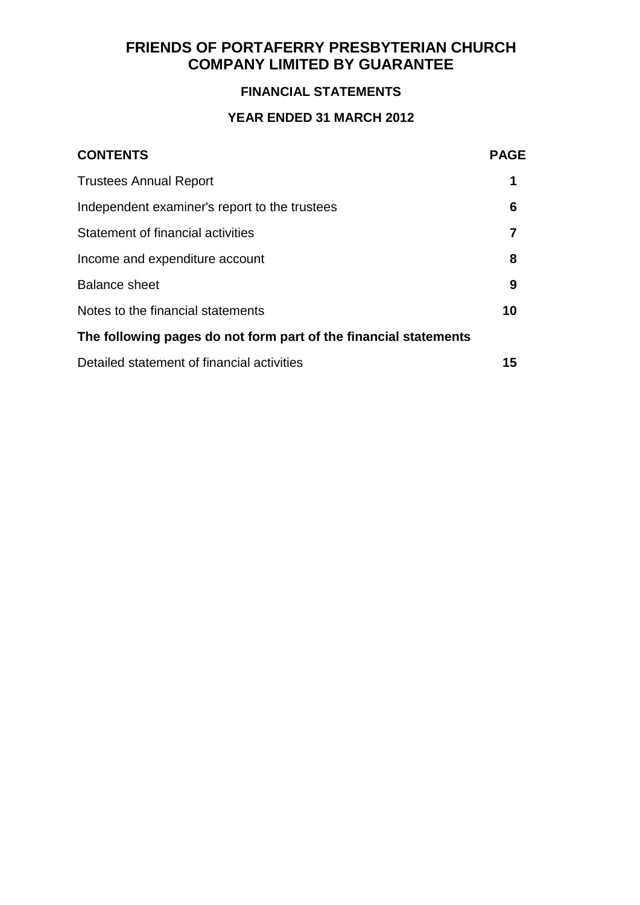# **FINANCIAL STATEMENTS**

# **YEAR ENDED 31 MARCH 2012**

| <b>CONTENTS</b>                                                  | <b>PAGE</b> |
|------------------------------------------------------------------|-------------|
| <b>Trustees Annual Report</b>                                    | 1           |
| Independent examiner's report to the trustees                    | 6           |
| Statement of financial activities                                | 7           |
| Income and expenditure account                                   | 8           |
| <b>Balance sheet</b>                                             | 9           |
| Notes to the financial statements                                | 10          |
| The following pages do not form part of the financial statements |             |
| Detailed statement of financial activities                       | 15          |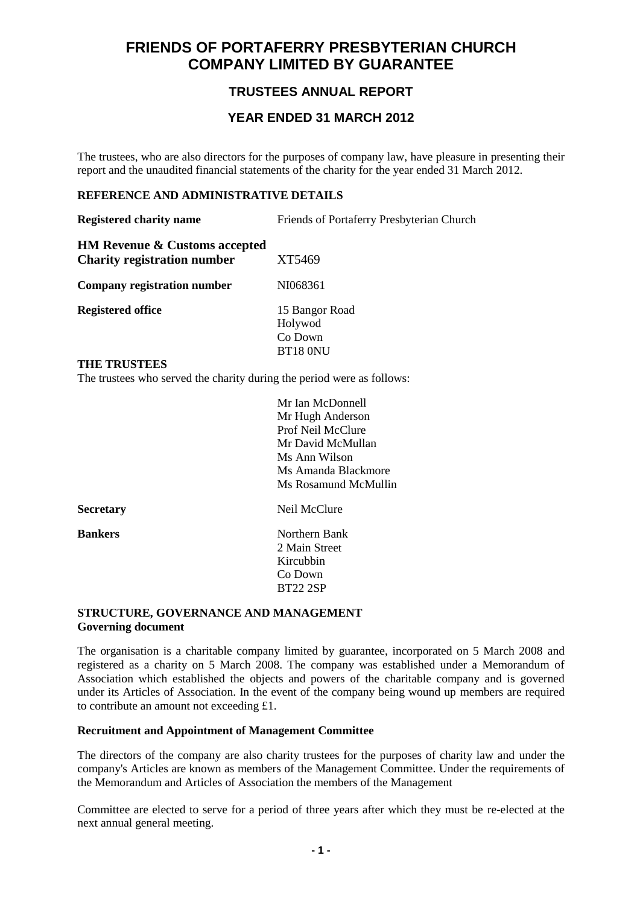# **TRUSTEES ANNUAL REPORT**

### **YEAR ENDED 31 MARCH 2012**

The trustees, who are also directors for the purposes of company law, have pleasure in presenting their report and the unaudited financial statements of the charity for the year ended 31 March 2012.

### **REFERENCE AND ADMINISTRATIVE DETAILS**

| <b>Registered charity name</b>                                                 | Friends of Portaferry Presbyterian Church        |
|--------------------------------------------------------------------------------|--------------------------------------------------|
| <b>HM Revenue &amp; Customs accepted</b><br><b>Charity registration number</b> | XT5469                                           |
| Company registration number                                                    | NI068361                                         |
| <b>Registered office</b>                                                       | 15 Bangor Road<br>Holywod<br>Co Down<br>BT18 ONU |

#### **THE TRUSTEES**

The trustees who served the charity during the period were as follows:

|                  | Mr Ian McDonnell     |
|------------------|----------------------|
|                  | Mr Hugh Anderson     |
|                  | Prof Neil McClure    |
|                  | Mr David McMullan    |
|                  | Ms Ann Wilson        |
|                  | Ms Amanda Blackmore  |
|                  | Ms Rosamund McMullin |
| <b>Secretary</b> | Neil McClure         |
| <b>Bankers</b>   | Northern Bank        |
|                  | 2 Main Street        |
|                  | Kircubbin            |
|                  | Co Down              |
|                  | <b>BT22 2SP</b>      |
|                  |                      |

### **STRUCTURE, GOVERNANCE AND MANAGEMENT Governing document**

The organisation is a charitable company limited by guarantee, incorporated on 5 March 2008 and registered as a charity on 5 March 2008. The company was established under a Memorandum of Association which established the objects and powers of the charitable company and is governed under its Articles of Association. In the event of the company being wound up members are required to contribute an amount not exceeding £1.

### **Recruitment and Appointment of Management Committee**

The directors of the company are also charity trustees for the purposes of charity law and under the company's Articles are known as members of the Management Committee. Under the requirements of the Memorandum and Articles of Association the members of the Management

Committee are elected to serve for a period of three years after which they must be re-elected at the next annual general meeting.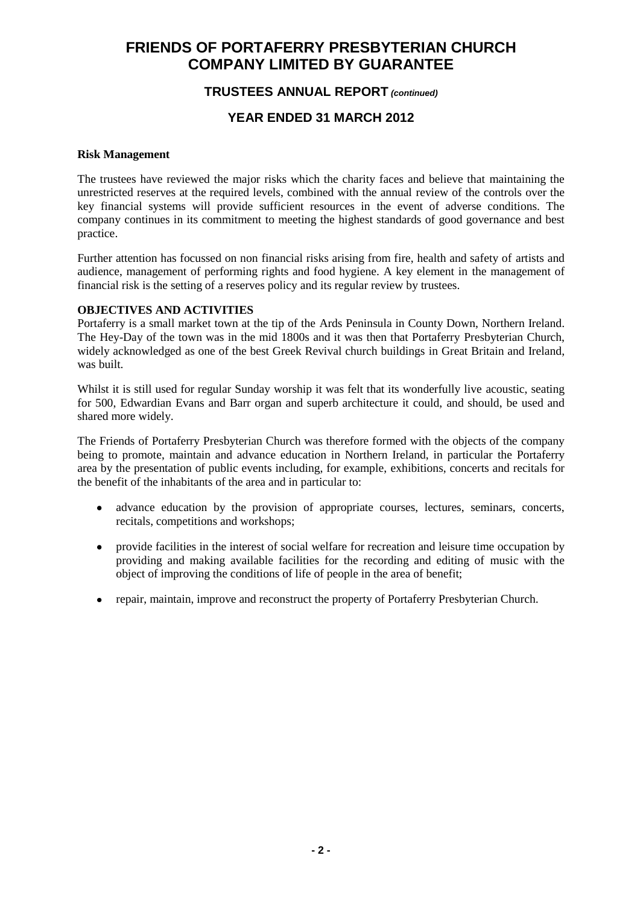## **TRUSTEES ANNUAL REPORT** *(continued)*

# **YEAR ENDED 31 MARCH 2012**

### **Risk Management**

The trustees have reviewed the major risks which the charity faces and believe that maintaining the unrestricted reserves at the required levels, combined with the annual review of the controls over the key financial systems will provide sufficient resources in the event of adverse conditions. The company continues in its commitment to meeting the highest standards of good governance and best practice.

Further attention has focussed on non financial risks arising from fire, health and safety of artists and audience, management of performing rights and food hygiene. A key element in the management of financial risk is the setting of a reserves policy and its regular review by trustees.

### **OBJECTIVES AND ACTIVITIES**

Portaferry is a small market town at the tip of the Ards Peninsula in County Down, Northern Ireland. The Hey-Day of the town was in the mid 1800s and it was then that Portaferry Presbyterian Church, widely acknowledged as one of the best Greek Revival church buildings in Great Britain and Ireland, was built.

Whilst it is still used for regular Sunday worship it was felt that its wonderfully live acoustic, seating for 500, Edwardian Evans and Barr organ and superb architecture it could, and should, be used and shared more widely.

The Friends of Portaferry Presbyterian Church was therefore formed with the objects of the company being to promote, maintain and advance education in Northern Ireland, in particular the Portaferry area by the presentation of public events including, for example, exhibitions, concerts and recitals for the benefit of the inhabitants of the area and in particular to:

- advance education by the provision of appropriate courses, lectures, seminars, concerts,  $\bullet$ recitals, competitions and workshops;
- $\bullet$ provide facilities in the interest of social welfare for recreation and leisure time occupation by providing and making available facilities for the recording and editing of music with the object of improving the conditions of life of people in the area of benefit;
- repair, maintain, improve and reconstruct the property of Portaferry Presbyterian Church.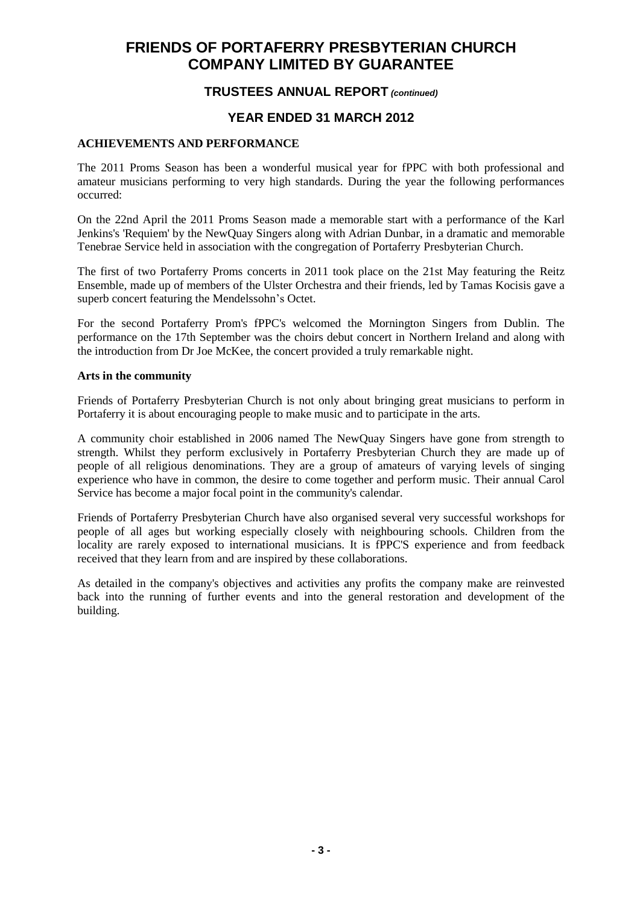### **TRUSTEES ANNUAL REPORT** *(continued)*

### **YEAR ENDED 31 MARCH 2012**

### **ACHIEVEMENTS AND PERFORMANCE**

The 2011 Proms Season has been a wonderful musical year for fPPC with both professional and amateur musicians performing to very high standards. During the year the following performances occurred:

On the 22nd April the 2011 Proms Season made a memorable start with a performance of the Karl Jenkins's 'Requiem' by the NewQuay Singers along with Adrian Dunbar, in a dramatic and memorable Tenebrae Service held in association with the congregation of Portaferry Presbyterian Church.

The first of two Portaferry Proms concerts in 2011 took place on the 21st May featuring the Reitz Ensemble, made up of members of the Ulster Orchestra and their friends, led by Tamas Kocisis gave a superb concert featuring the Mendelssohn's Octet.

For the second Portaferry Prom's fPPC's welcomed the Mornington Singers from Dublin. The performance on the 17th September was the choirs debut concert in Northern Ireland and along with the introduction from Dr Joe McKee, the concert provided a truly remarkable night.

#### **Arts in the community**

Friends of Portaferry Presbyterian Church is not only about bringing great musicians to perform in Portaferry it is about encouraging people to make music and to participate in the arts.

A community choir established in 2006 named The NewQuay Singers have gone from strength to strength. Whilst they perform exclusively in Portaferry Presbyterian Church they are made up of people of all religious denominations. They are a group of amateurs of varying levels of singing experience who have in common, the desire to come together and perform music. Their annual Carol Service has become a major focal point in the community's calendar.

Friends of Portaferry Presbyterian Church have also organised several very successful workshops for people of all ages but working especially closely with neighbouring schools. Children from the locality are rarely exposed to international musicians. It is fPPC'S experience and from feedback received that they learn from and are inspired by these collaborations.

As detailed in the company's objectives and activities any profits the company make are reinvested back into the running of further events and into the general restoration and development of the building.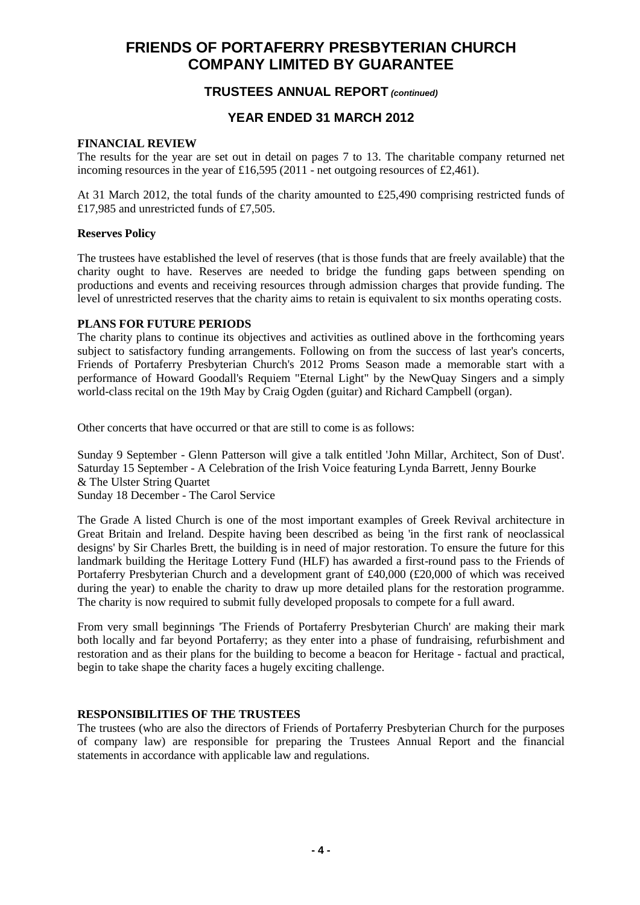### **TRUSTEES ANNUAL REPORT** *(continued)*

### **YEAR ENDED 31 MARCH 2012**

#### **FINANCIAL REVIEW**

The results for the year are set out in detail on pages 7 to 13. The charitable company returned net incoming resources in the year of £16,595 (2011 - net outgoing resources of £2,461).

At 31 March 2012, the total funds of the charity amounted to £25,490 comprising restricted funds of £17,985 and unrestricted funds of £7,505.

### **Reserves Policy**

The trustees have established the level of reserves (that is those funds that are freely available) that the charity ought to have. Reserves are needed to bridge the funding gaps between spending on productions and events and receiving resources through admission charges that provide funding. The level of unrestricted reserves that the charity aims to retain is equivalent to six months operating costs.

#### **PLANS FOR FUTURE PERIODS**

The charity plans to continue its objectives and activities as outlined above in the forthcoming years subject to satisfactory funding arrangements. Following on from the success of last year's concerts, Friends of Portaferry Presbyterian Church's 2012 Proms Season made a memorable start with a performance of Howard Goodall's Requiem "Eternal Light" by the NewQuay Singers and a simply world-class recital on the 19th May by Craig Ogden (guitar) and Richard Campbell (organ).

Other concerts that have occurred or that are still to come is as follows:

Sunday 9 September - Glenn Patterson will give a talk entitled 'John Millar, Architect, Son of Dust'. Saturday 15 September - A Celebration of the Irish Voice featuring Lynda Barrett, Jenny Bourke & The Ulster String Quartet

Sunday 18 December - The Carol Service

The Grade A listed Church is one of the most important examples of Greek Revival architecture in Great Britain and Ireland. Despite having been described as being 'in the first rank of neoclassical designs' by Sir Charles Brett, the building is in need of major restoration. To ensure the future for this landmark building the Heritage Lottery Fund (HLF) has awarded a first-round pass to the Friends of Portaferry Presbyterian Church and a development grant of £40,000 (£20,000 of which was received during the year) to enable the charity to draw up more detailed plans for the restoration programme. The charity is now required to submit fully developed proposals to compete for a full award.

From very small beginnings 'The Friends of Portaferry Presbyterian Church' are making their mark both locally and far beyond Portaferry; as they enter into a phase of fundraising, refurbishment and restoration and as their plans for the building to become a beacon for Heritage - factual and practical, begin to take shape the charity faces a hugely exciting challenge.

### **RESPONSIBILITIES OF THE TRUSTEES**

The trustees (who are also the directors of Friends of Portaferry Presbyterian Church for the purposes of company law) are responsible for preparing the Trustees Annual Report and the financial statements in accordance with applicable law and regulations.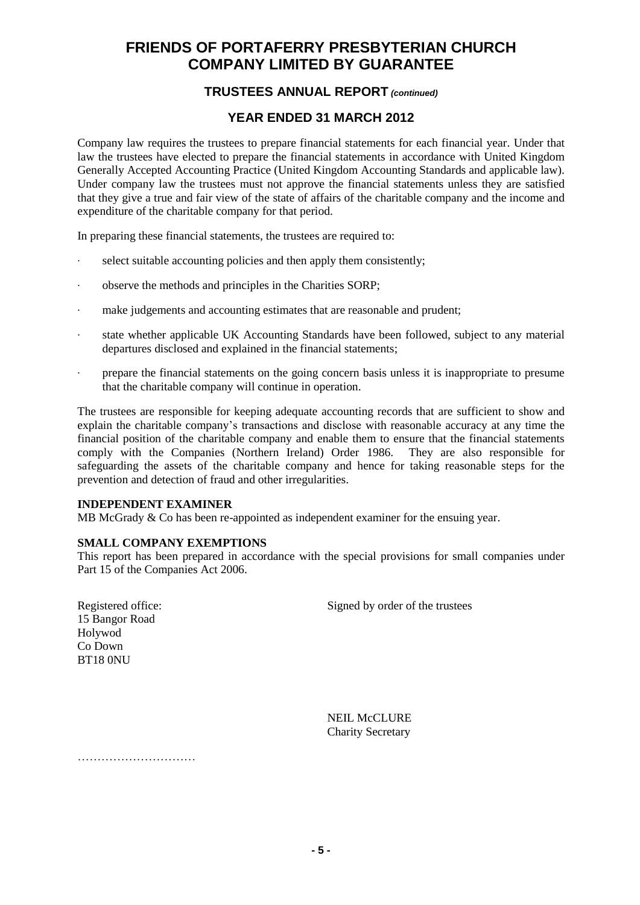# **TRUSTEES ANNUAL REPORT** *(continued)*

# **YEAR ENDED 31 MARCH 2012**

Company law requires the trustees to prepare financial statements for each financial year. Under that law the trustees have elected to prepare the financial statements in accordance with United Kingdom Generally Accepted Accounting Practice (United Kingdom Accounting Standards and applicable law). Under company law the trustees must not approve the financial statements unless they are satisfied that they give a true and fair view of the state of affairs of the charitable company and the income and expenditure of the charitable company for that period.

In preparing these financial statements, the trustees are required to:

- · select suitable accounting policies and then apply them consistently;
- observe the methods and principles in the Charities SORP;
- make judgements and accounting estimates that are reasonable and prudent;
- · state whether applicable UK Accounting Standards have been followed, subject to any material departures disclosed and explained in the financial statements;
- · prepare the financial statements on the going concern basis unless it is inappropriate to presume that the charitable company will continue in operation.

The trustees are responsible for keeping adequate accounting records that are sufficient to show and explain the charitable company's transactions and disclose with reasonable accuracy at any time the financial position of the charitable company and enable them to ensure that the financial statements comply with the Companies (Northern Ireland) Order 1986. They are also responsible for safeguarding the assets of the charitable company and hence for taking reasonable steps for the prevention and detection of fraud and other irregularities.

### **INDEPENDENT EXAMINER**

MB McGrady & Co has been re-appointed as independent examiner for the ensuing year.

### **SMALL COMPANY EXEMPTIONS**

This report has been prepared in accordance with the special provisions for small companies under Part 15 of the Companies Act 2006.

Registered office: Signed by order of the trustees

15 Bangor Road Holywod Co Down BT18 0NU

> NEIL McCLURE Charity Secretary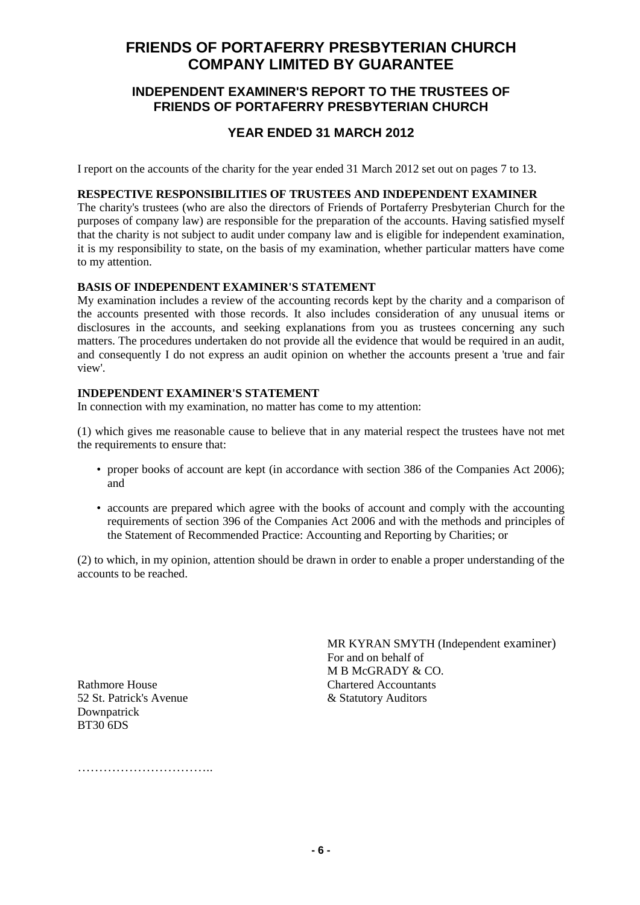### **INDEPENDENT EXAMINER'S REPORT TO THE TRUSTEES OF FRIENDS OF PORTAFERRY PRESBYTERIAN CHURCH**

### **YEAR ENDED 31 MARCH 2012**

I report on the accounts of the charity for the year ended 31 March 2012 set out on pages 7 to 13.

### **RESPECTIVE RESPONSIBILITIES OF TRUSTEES AND INDEPENDENT EXAMINER**

The charity's trustees (who are also the directors of Friends of Portaferry Presbyterian Church for the purposes of company law) are responsible for the preparation of the accounts. Having satisfied myself that the charity is not subject to audit under company law and is eligible for independent examination, it is my responsibility to state, on the basis of my examination, whether particular matters have come to my attention.

### **BASIS OF INDEPENDENT EXAMINER'S STATEMENT**

My examination includes a review of the accounting records kept by the charity and a comparison of the accounts presented with those records. It also includes consideration of any unusual items or disclosures in the accounts, and seeking explanations from you as trustees concerning any such matters. The procedures undertaken do not provide all the evidence that would be required in an audit, and consequently I do not express an audit opinion on whether the accounts present a 'true and fair view'.

### **INDEPENDENT EXAMINER'S STATEMENT**

In connection with my examination, no matter has come to my attention:

(1) which gives me reasonable cause to believe that in any material respect the trustees have not met the requirements to ensure that:

- proper books of account are kept (in accordance with section 386 of the Companies Act 2006); and
- accounts are prepared which agree with the books of account and comply with the accounting requirements of section 396 of the Companies Act 2006 and with the methods and principles of the Statement of Recommended Practice: Accounting and Reporting by Charities; or

(2) to which, in my opinion, attention should be drawn in order to enable a proper understanding of the accounts to be reached.

> MR KYRAN SMYTH (Independent examiner) For and on behalf of M B McGRADY & CO.

Rathmore House Chartered Accountants 52 St. Patrick's Avenue & Statutory Auditors Downpatrick BT30 6DS

……………………………………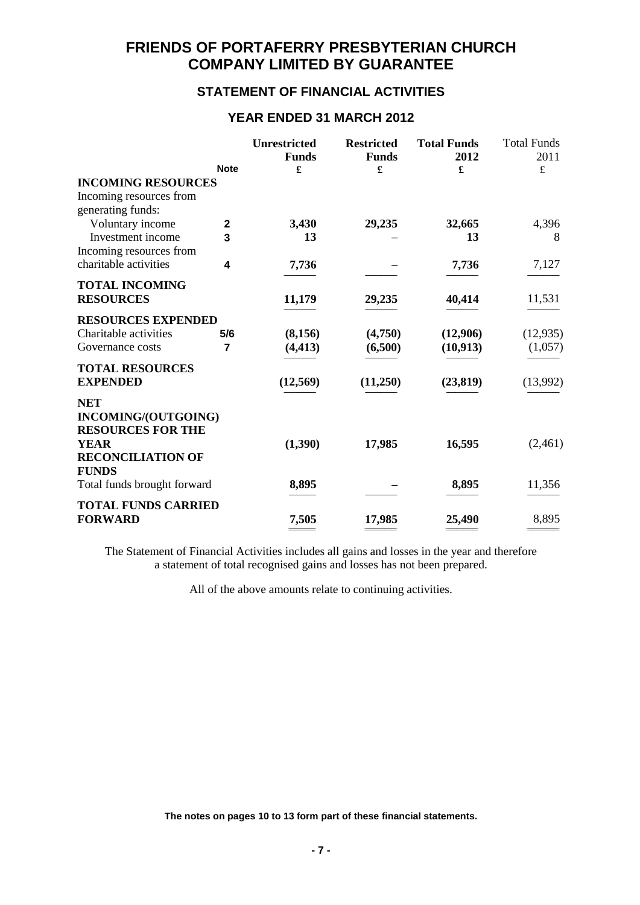# **STATEMENT OF FINANCIAL ACTIVITIES**

### **YEAR ENDED 31 MARCH 2012**

|                                                                                                                          | <b>Note</b>      | <b>Unrestricted</b><br><b>Funds</b><br>£ | <b>Restricted</b><br><b>Funds</b><br>£ | <b>Total Funds</b><br>2012<br>£ | <b>Total Funds</b><br>2011<br>$\pounds$ |
|--------------------------------------------------------------------------------------------------------------------------|------------------|------------------------------------------|----------------------------------------|---------------------------------|-----------------------------------------|
| <b>INCOMING RESOURCES</b><br>Incoming resources from<br>generating funds:                                                |                  |                                          |                                        |                                 |                                         |
| Voluntary income<br>Investment income                                                                                    | $\mathbf 2$<br>3 | 3,430<br>13                              | 29,235                                 | 32,665<br>13                    | 4,396<br>8                              |
| Incoming resources from<br>charitable activities                                                                         | 4                | 7,736                                    |                                        | 7,736                           | 7,127                                   |
| <b>TOTAL INCOMING</b><br><b>RESOURCES</b>                                                                                |                  | 11,179                                   | 29,235                                 | 40,414                          | 11,531                                  |
| <b>RESOURCES EXPENDED</b><br>Charitable activities<br>Governance costs                                                   | 5/6<br>7         | (8,156)<br>(4, 413)                      | (4,750)<br>(6,500)                     | (12,906)<br>(10, 913)           | (12, 935)<br>(1,057)                    |
| <b>TOTAL RESOURCES</b><br><b>EXPENDED</b>                                                                                |                  | (12, 569)                                | (11,250)                               | (23, 819)                       | (13,992)                                |
| <b>NET</b><br>INCOMING/(OUTGOING)<br><b>RESOURCES FOR THE</b><br><b>YEAR</b><br><b>RECONCILIATION OF</b><br><b>FUNDS</b> |                  | (1,390)                                  | 17,985                                 | 16,595                          | (2,461)                                 |
| Total funds brought forward                                                                                              |                  | 8,895                                    |                                        | 8,895                           | 11,356                                  |
| <b>TOTAL FUNDS CARRIED</b><br><b>FORWARD</b>                                                                             |                  | 7,505                                    | 17,985                                 | 25,490                          | 8,895                                   |

The Statement of Financial Activities includes all gains and losses in the year and therefore a statement of total recognised gains and losses has not been prepared.

All of the above amounts relate to continuing activities.

**The notes on pages 10 to 13 form part of these financial statements.**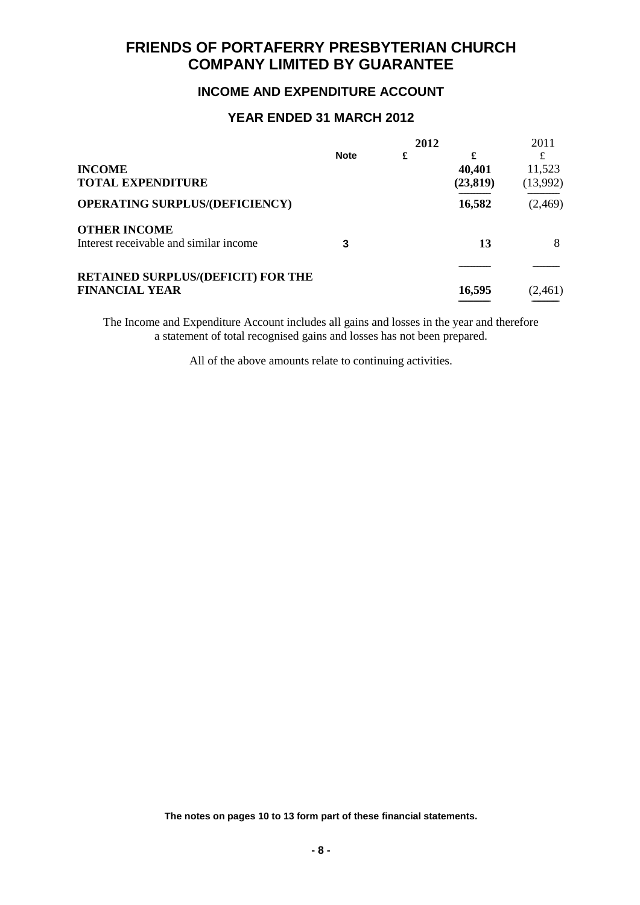# **INCOME AND EXPENDITURE ACCOUNT**

### **YEAR ENDED 31 MARCH 2012**

|                                           |             | 2012 |           | 2011     |
|-------------------------------------------|-------------|------|-----------|----------|
|                                           | <b>Note</b> | £    | £         |          |
| <b>INCOME</b>                             |             |      | 40,401    | 11,523   |
| <b>TOTAL EXPENDITURE</b>                  |             |      | (23, 819) | (13,992) |
| <b>OPERATING SURPLUS/(DEFICIENCY)</b>     |             |      | 16,582    | (2,469)  |
| <b>OTHER INCOME</b>                       |             |      |           |          |
| Interest receivable and similar income    |             |      | 13        | 8        |
| <b>RETAINED SURPLUS/(DEFICIT) FOR THE</b> |             |      |           |          |
| <b>FINANCIAL YEAR</b>                     |             |      | 16,595    | (2,461)  |
|                                           |             |      |           |          |

The Income and Expenditure Account includes all gains and losses in the year and therefore a statement of total recognised gains and losses has not been prepared.

All of the above amounts relate to continuing activities.

**The notes on pages 10 to 13 form part of these financial statements.**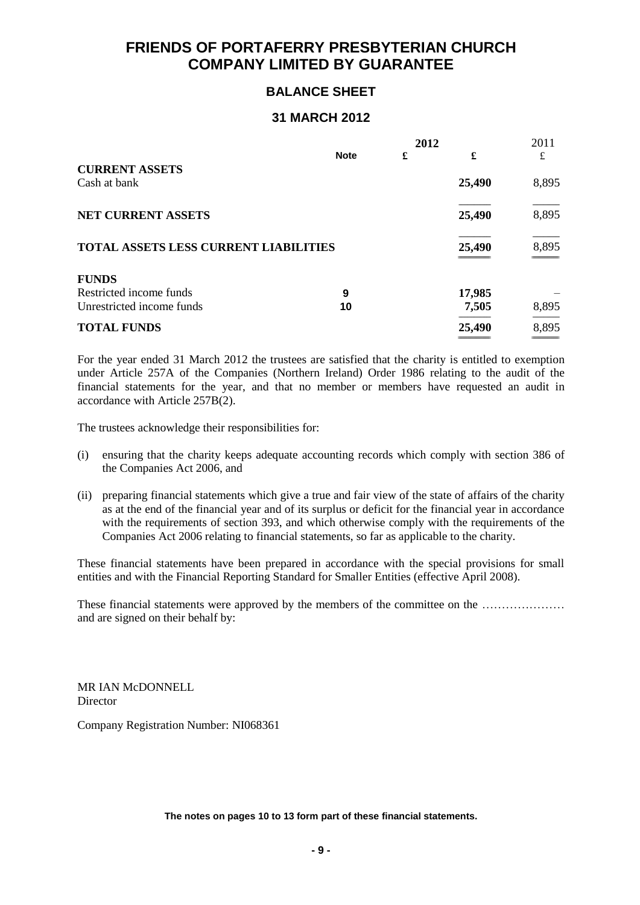# **BALANCE SHEET**

### **31 MARCH 2012**

|                                       | 2012        |   | 2011   |          |
|---------------------------------------|-------------|---|--------|----------|
|                                       | <b>Note</b> | £ | £      | £        |
| <b>CURRENT ASSETS</b>                 |             |   |        |          |
| Cash at bank                          |             |   | 25,490 | 8,895    |
| <b>NET CURRENT ASSETS</b>             |             |   | 25,490 | 8,895    |
| TOTAL ASSETS LESS CURRENT LIABILITIES |             |   | 25,490 | 8,895    |
| <b>FUNDS</b>                          |             |   |        |          |
| Restricted income funds               | 9           |   | 17,985 |          |
| Unrestricted income funds             | 10          |   | 7,505  | 8,895    |
| <b>TOTAL FUNDS</b>                    |             |   | 25,490 | 8,895    |
|                                       |             |   |        | ________ |

For the year ended 31 March 2012 the trustees are satisfied that the charity is entitled to exemption under Article 257A of the Companies (Northern Ireland) Order 1986 relating to the audit of the financial statements for the year, and that no member or members have requested an audit in accordance with Article 257B(2).

The trustees acknowledge their responsibilities for:

- (i) ensuring that the charity keeps adequate accounting records which comply with section 386 of the Companies Act 2006, and
- (ii) preparing financial statements which give a true and fair view of the state of affairs of the charity as at the end of the financial year and of its surplus or deficit for the financial year in accordance with the requirements of section 393, and which otherwise comply with the requirements of the Companies Act 2006 relating to financial statements, so far as applicable to the charity.

These financial statements have been prepared in accordance with the special provisions for small entities and with the Financial Reporting Standard for Smaller Entities (effective April 2008).

These financial statements were approved by the members of the committee on the ………………… and are signed on their behalf by:

MR IAN McDONNELL Director

Company Registration Number: NI068361

**The notes on pages 10 to 13 form part of these financial statements.**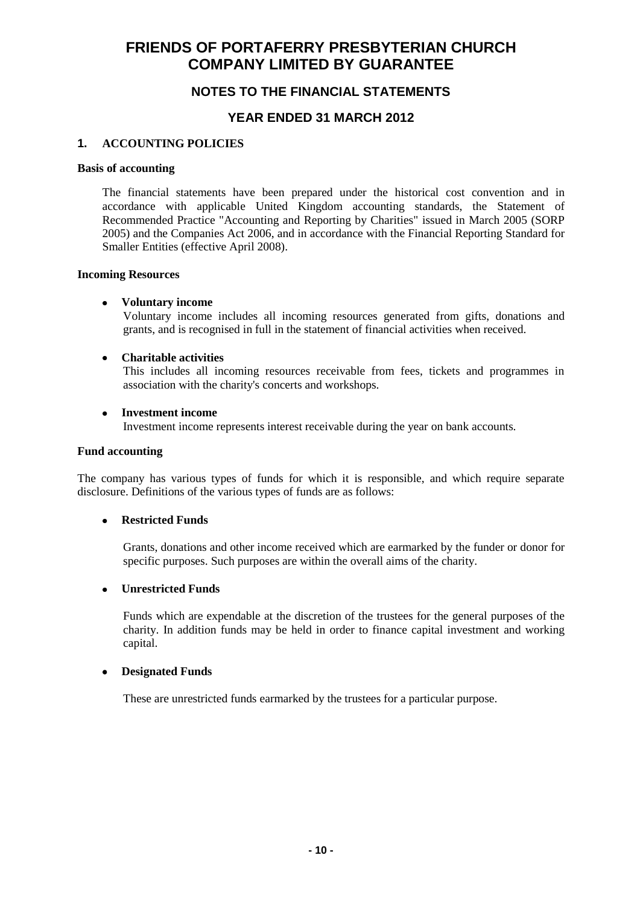# **NOTES TO THE FINANCIAL STATEMENTS**

### **YEAR ENDED 31 MARCH 2012**

### **1. ACCOUNTING POLICIES**

#### **Basis of accounting**

The financial statements have been prepared under the historical cost convention and in accordance with applicable United Kingdom accounting standards, the Statement of Recommended Practice "Accounting and Reporting by Charities" issued in March 2005 (SORP 2005) and the Companies Act 2006, and in accordance with the Financial Reporting Standard for Smaller Entities (effective April 2008).

#### **Incoming Resources**

### **Voluntary income**

Voluntary income includes all incoming resources generated from gifts, donations and grants, and is recognised in full in the statement of financial activities when received.

#### **Charitable activities**  $\bullet$

This includes all incoming resources receivable from fees, tickets and programmes in association with the charity's concerts and workshops.

### **Investment income**

Investment income represents interest receivable during the year on bank accounts.

### **Fund accounting**

The company has various types of funds for which it is responsible, and which require separate disclosure. Definitions of the various types of funds are as follows:

### **Restricted Funds**

Grants, donations and other income received which are earmarked by the funder or donor for specific purposes. Such purposes are within the overall aims of the charity.

### **Unrestricted Funds**

Funds which are expendable at the discretion of the trustees for the general purposes of the charity. In addition funds may be held in order to finance capital investment and working capital.

#### **Designated Funds**  $\bullet$

These are unrestricted funds earmarked by the trustees for a particular purpose.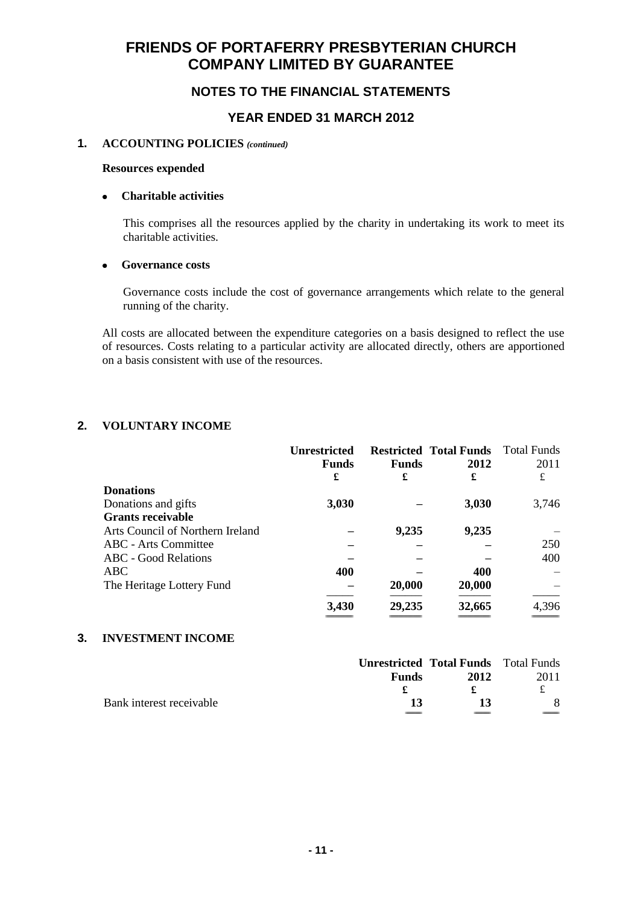# **NOTES TO THE FINANCIAL STATEMENTS**

### **YEAR ENDED 31 MARCH 2012**

### **1. ACCOUNTING POLICIES** *(continued)*

#### **Resources expended**

### **Charitable activities**

This comprises all the resources applied by the charity in undertaking its work to meet its charitable activities.

### **Governance costs**

Governance costs include the cost of governance arrangements which relate to the general running of the charity.

All costs are allocated between the expenditure categories on a basis designed to reflect the use of resources. Costs relating to a particular activity are allocated directly, others are apportioned on a basis consistent with use of the resources.

### **2. VOLUNTARY INCOME**

|                                  | <b>Unrestricted</b> |              | <b>Restricted Total Funds</b> | Total Funds |
|----------------------------------|---------------------|--------------|-------------------------------|-------------|
|                                  | <b>Funds</b>        | <b>Funds</b> | 2012                          | 2011        |
|                                  | £                   | £            | £                             | £           |
| <b>Donations</b>                 |                     |              |                               |             |
| Donations and gifts              | 3,030               |              | 3,030                         | 3,746       |
| <b>Grants receivable</b>         |                     |              |                               |             |
| Arts Council of Northern Ireland |                     | 9,235        | 9,235                         |             |
| <b>ABC</b> - Arts Committee      |                     |              |                               | 250         |
| <b>ABC</b> - Good Relations      |                     |              |                               | 400         |
| ABC                              | 400                 |              | 400                           |             |
| The Heritage Lottery Fund        |                     | 20,000       | 20,000                        |             |
|                                  | 3,430               | 29,235       | 32,665                        | 4,396       |

### **3. INVESTMENT INCOME**

|                          |              | <b>Unrestricted Total Funds</b> Total Funds |      |
|--------------------------|--------------|---------------------------------------------|------|
|                          | <b>Funds</b> | 2012                                        | 2011 |
|                          |              |                                             |      |
| Bank interest receivable | 13           | 13                                          |      |
|                          |              |                                             |      |

========================== =============================== =============================== ==========================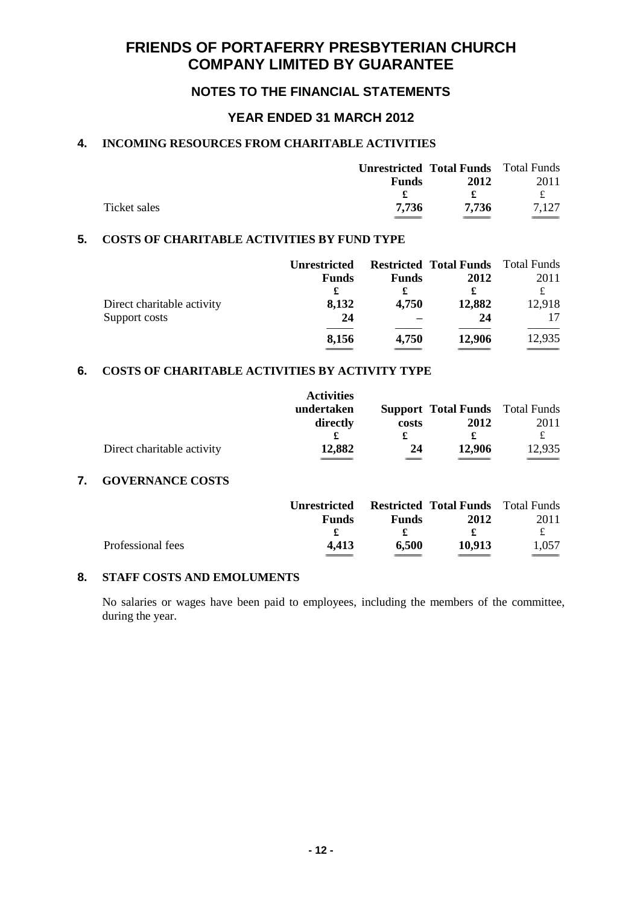# **NOTES TO THE FINANCIAL STATEMENTS**

### **YEAR ENDED 31 MARCH 2012**

### **4. INCOMING RESOURCES FROM CHARITABLE ACTIVITIES**

|              | <b>Unrestricted Total Funds</b> Total Funds |       |       |
|--------------|---------------------------------------------|-------|-------|
|              | <b>Funds</b>                                | 2012  | 2011  |
|              |                                             |       | £     |
| Ticket sales | 7.736                                       | 7.736 | 7.127 |
|              |                                             |       |       |

### **5. COSTS OF CHARITABLE ACTIVITIES BY FUND TYPE**

|                            | <b>Unrestricted</b> |              | <b>Restricted Total Funds</b> | Total Funds |
|----------------------------|---------------------|--------------|-------------------------------|-------------|
|                            | <b>Funds</b>        | <b>Funds</b> | 2012                          | 2011        |
|                            | £                   | £            | £                             |             |
| Direct charitable activity | 8,132               | 4,750        | 12,882                        | 12,918      |
| Support costs              | 24                  |              | 24                            |             |
|                            | 8,156               | 4,750        | 12,906                        | 12,935      |

### **6. COSTS OF CHARITABLE ACTIVITIES BY ACTIVITY TYPE**

| Direct charitable activity | <b>Activities</b><br>undertaken<br>directly<br>£<br>12,882 | costs<br>£<br>24 | <b>Support Total Funds</b> Total Funds<br>2012<br>£<br>12,906 | 2011<br>£<br>12,935 |
|----------------------------|------------------------------------------------------------|------------------|---------------------------------------------------------------|---------------------|
| <b>GOVERNANCE COSTS</b>    |                                                            |                  |                                                               |                     |
|                            | <b>Unrestricted</b>                                        |                  | <b>Restricted Total Funds</b> Total Funds                     |                     |
|                            | <b>Funds</b>                                               | <b>Funds</b>     | 2012                                                          | 2011                |

### **8. STAFF COSTS AND EMOLUMENTS**

No salaries or wages have been paid to employees, including the members of the committee, during the year.

Professional fees **4,413 6,500 10,913** 1,057

**£ £ £** £

========================== ========================== =============================== ==========================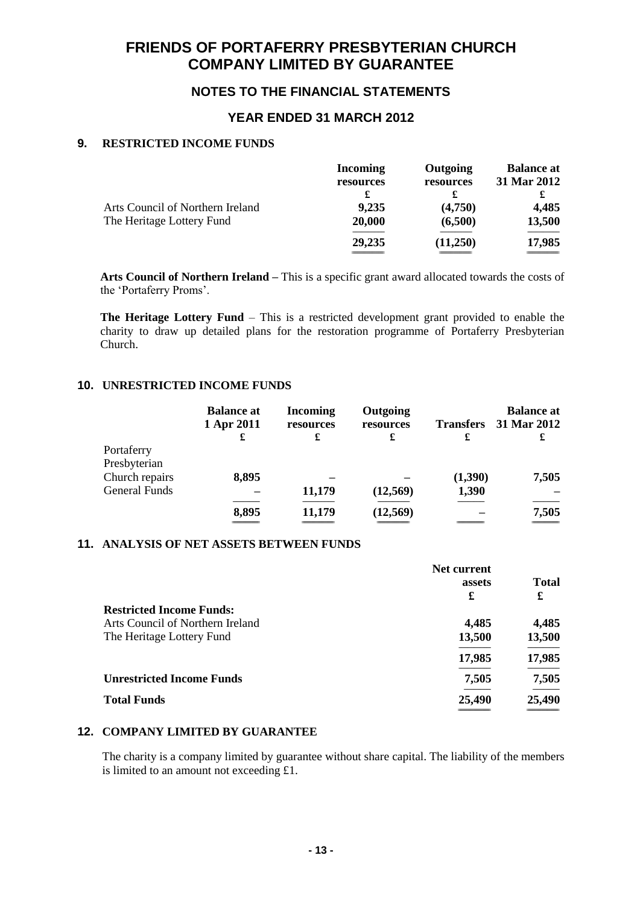# **NOTES TO THE FINANCIAL STATEMENTS**

### **YEAR ENDED 31 MARCH 2012**

### **9. RESTRICTED INCOME FUNDS**

|                                  | <b>Incoming</b> | Outgoing  | <b>Balance at</b> |
|----------------------------------|-----------------|-----------|-------------------|
|                                  | resources       | resources | 31 Mar 2012       |
|                                  |                 |           |                   |
| Arts Council of Northern Ireland | 9,235           | (4,750)   | 4,485             |
| The Heritage Lottery Fund        | 20,000          | (6,500)   | 13,500            |
|                                  | 29,235          | (11,250)  | 17,985            |
|                                  |                 |           |                   |

**Arts Council of Northern Ireland –** This is a specific grant award allocated towards the costs of the 'Portaferry Proms'.

**The Heritage Lottery Fund** – This is a restricted development grant provided to enable the charity to draw up detailed plans for the restoration programme of Portaferry Presbyterian Church.

### **10. UNRESTRICTED INCOME FUNDS**

|                      | <b>Balance at</b><br>1 Apr 2011<br>£ | <b>Incoming</b><br>resources<br>£ | Outgoing<br>resources<br>£ | <b>Transfers</b><br>£ | <b>Balance at</b><br>31 Mar 2012<br>£ |
|----------------------|--------------------------------------|-----------------------------------|----------------------------|-----------------------|---------------------------------------|
| Portaferry           |                                      |                                   |                            |                       |                                       |
| Presbyterian         |                                      |                                   |                            |                       |                                       |
| Church repairs       | 8,895                                |                                   |                            | (1,390)               | 7,505                                 |
| <b>General Funds</b> |                                      | 11,179                            | (12,569)                   | 1,390                 |                                       |
|                      | 8,895                                | 11,179                            | (12, 569)                  |                       | 7,505                                 |
|                      |                                      |                                   |                            |                       |                                       |

### **11. ANALYSIS OF NET ASSETS BETWEEN FUNDS**

|                                  | Net current |              |
|----------------------------------|-------------|--------------|
|                                  | assets      | <b>Total</b> |
|                                  | £           | £            |
| <b>Restricted Income Funds:</b>  |             |              |
| Arts Council of Northern Ireland | 4,485       | 4,485        |
| The Heritage Lottery Fund        | 13,500      | 13,500       |
|                                  | 17,985      | 17,985       |
| <b>Unrestricted Income Funds</b> | 7,505       | 7,505        |
| <b>Total Funds</b>               | 25,490      | 25,490       |
|                                  |             |              |

### **12. COMPANY LIMITED BY GUARANTEE**

The charity is a company limited by guarantee without share capital. The liability of the members is limited to an amount not exceeding £1.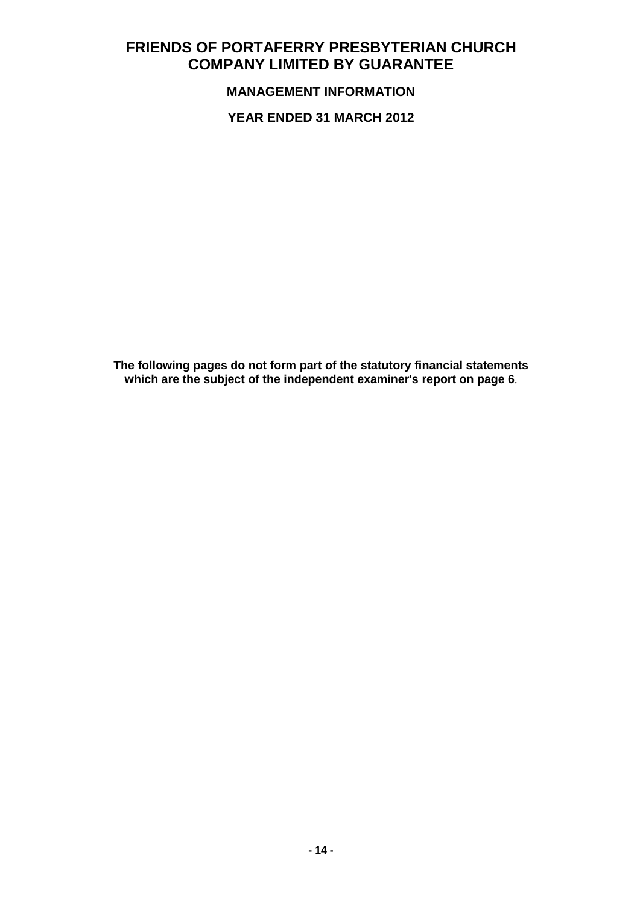**MANAGEMENT INFORMATION**

**YEAR ENDED 31 MARCH 2012**

**The following pages do not form part of the statutory financial statements which are the subject of the independent examiner's report on page 6**.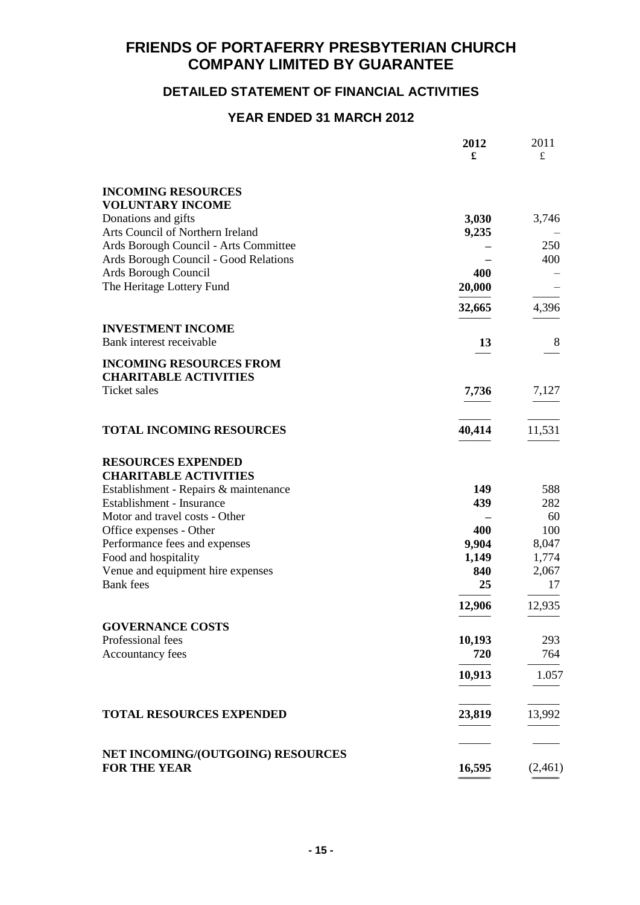# **DETAILED STATEMENT OF FINANCIAL ACTIVITIES**

# **YEAR ENDED 31 MARCH 2012**

|                                                       | 2012<br>£    | 2011<br>£      |
|-------------------------------------------------------|--------------|----------------|
|                                                       |              |                |
| <b>INCOMING RESOURCES</b><br><b>VOLUNTARY INCOME</b>  |              |                |
| Donations and gifts                                   | 3,030        | 3,746          |
| Arts Council of Northern Ireland                      | 9,235        |                |
| Ards Borough Council - Arts Committee                 |              | 250            |
| Ards Borough Council - Good Relations                 |              | 400            |
| Ards Borough Council                                  | 400          |                |
| The Heritage Lottery Fund                             | 20,000       |                |
|                                                       | 32,665       | 4,396          |
| <b>INVESTMENT INCOME</b>                              |              |                |
| Bank interest receivable                              | 13           | 8              |
| <b>INCOMING RESOURCES FROM</b>                        |              |                |
| <b>CHARITABLE ACTIVITIES</b>                          |              |                |
| <b>Ticket</b> sales                                   | 7,736        | 7,127          |
| <b>TOTAL INCOMING RESOURCES</b>                       | 40,414       | 11,531         |
| <b>RESOURCES EXPENDED</b>                             |              |                |
| <b>CHARITABLE ACTIVITIES</b>                          |              |                |
| Establishment - Repairs & maintenance                 | 149          | 588            |
| Establishment - Insurance                             | 439          | 282            |
| Motor and travel costs - Other                        |              | 60             |
| Office expenses - Other                               | 400<br>9,904 | 100            |
| Performance fees and expenses<br>Food and hospitality | 1,149        | 8,047<br>1,774 |
| Venue and equipment hire expenses                     | 840          | 2,067          |
| <b>Bank</b> fees                                      | 25           | 17             |
|                                                       | 12,906       | 12,935         |
| <b>GOVERNANCE COSTS</b>                               |              |                |
| Professional fees                                     | 10,193       | 293            |
| Accountancy fees                                      | 720          | 764            |
|                                                       | 10,913       | 1.057          |
| <b>TOTAL RESOURCES EXPENDED</b>                       | 23,819       | 13,992         |
|                                                       |              |                |
| NET INCOMING/(OUTGOING) RESOURCES<br>FOR THE YEAR     | 16,595       | (2,461)        |
|                                                       |              |                |